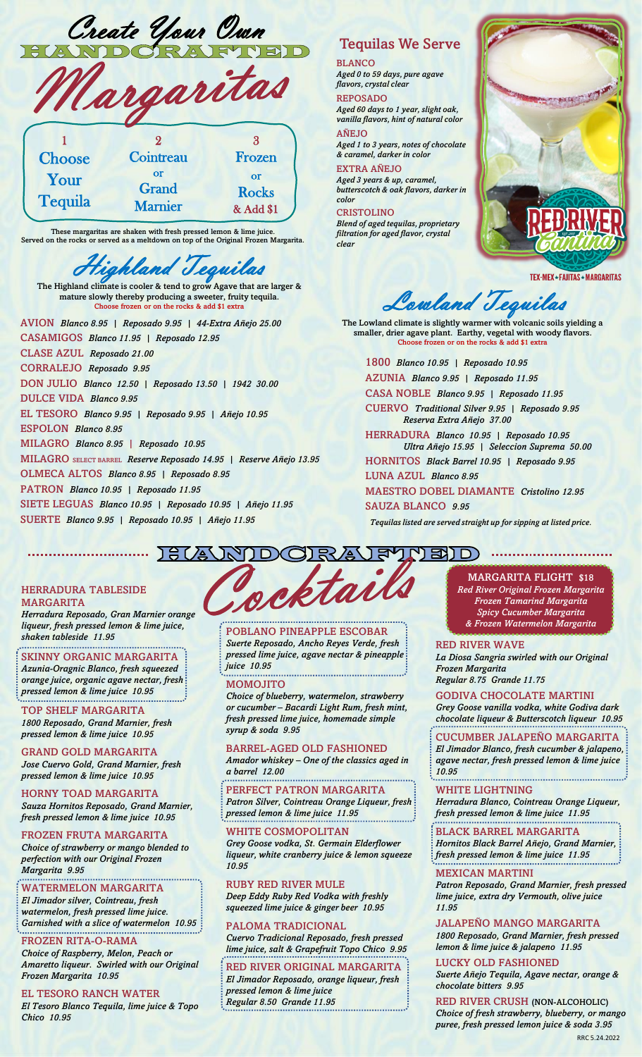| Create Your Own |  |
|-----------------|--|
| NOORATT         |  |

|                        | Cargaritas                    |                                 |
|------------------------|-------------------------------|---------------------------------|
| Choose                 | Cointreau                     | Frozen                          |
| Your<br><b>Tequila</b> | or<br>Grand<br><b>Marnier</b> | or<br><b>Rocks</b><br>& Add \$1 |

These margaritas are shaken with fresh pressed lemon & lime juice. Served on the rocks or served as a meltdown on top of the Original Frozen Margarita.

# ighland Tequilas

The Highland climate is cooler & tend to grow Agave that are larger & mature slowly thereby producing a sweeter, fruity tequila. e frozen or on the rocks & add \$1 extra

AVION *Blanco 8.95 | Reposado 9.95 | 44-Extra Añejo 25.00* CASAMIGOS *Blanco 11.95 | Reposado 12.95* CLASE AZUL *Reposado 21.00* CORRALEJO *Reposado 9.95* DON JULIO *Blanco 12.50 | Reposado 13.50 | 1942 30.00* DULCE VIDA *Blanco 9.95* EL TESORO *Blanco 9.95 | Reposado 9.95 | Añejo 10.95* ESPOLON *Blanco 8.95* MILAGRO *Blanco 8.95 | Reposado 10.95* MILAGRO SELECT BARREL *Reserve Reposado 14.95 | Reserve Añejo 13.95* OLMECA ALTOS *Blanco 8.95 | Reposado 8.95*  PATRON *Blanco 10.95 | Reposado 11.95* SIETE LEGUAS *Blanco 10.95 | Reposado 10.95 | Añejo 11.95*

SUERTE *Blanco 9.95 | Reposado 10.95 | Añejo 11.95*

# Tequilas We Serve

BLANCO *Aged 0 to 59 days, pure agave flavors, crystal clear*

REPOSADO *Aged 60 days to 1 year, slight oak, vanilla flavors, hint of natural color*

AÑEJO *Aged 1 to 3 years, notes of chocolate & caramel, darker in color*

### EXTRA AÑEJO

*Aged 3 years & up, caramel, butterscotch & oak flavors, darker in color*

#### CRISTOLINO *Blend of aged tequilas, proprietary filtration for aged flavor, crystal clear*



TEX-MEX\*FAJITAS\*MARGARITAS

Lowland Tequilas

The Lowland climate is slightly warmer with volcanic soils yielding a smaller, drier agave plant. Earthy, vegetal with woody flavors. Choose frozen or on the rocks & add \$1 extra

1800 *Blanco 10.95 | Reposado 10.95*

AZUNIA *Blanco 9.95 | Reposado 11.95*

CASA NOBLE *Blanco 9.95 | Reposado 11.95*

CUERVO *Traditional Silver 9.95 | Reposado 9.95 Reserva Extra Añejo 37.00*

HERRADURA *Blanco 10.95 | Reposado 10.95 Ultra Añejo 15.95 | Seleccion Suprema 50.00*

HORNITOS *Black Barrel 10.95 | Reposado 9.95*  LUNA AZUL *Blanco 8.95* 

MAESTRO DOBEL DIAMANTE *Cristolino 12.95* SAUZA BLANCO *9.95*

*Tequilas listed are served straight up for sipping at listed price.*

## $\sqrt{300}$

#### HERRADURA TABLESIDE MARGARITA

*Herradura Reposado, Gran Marnier orange liqueur, fresh pressed lemon & lime juice, shaken tableside 11.95*

SKINNY ORGANIC MARGARITA *Azunia-Oragnic Blanco, fresh squeezed orange juice, organic agave nectar, fresh pressed lemon & lime juice 10.95*

TOP SHELF MARGARITA *1800 Reposado, Grand Marnier, fresh pressed lemon & lime juice 10.95*

GRAND GOLD MARGARITA *Jose Cuervo Gold, Grand Marnier, fresh pressed lemon & lime juice 10.95*

HORNY TOAD MARGARITA *Sauza Hornitos Reposado, Grand Marnier, fresh pressed lemon & lime juice 10.95*

FROZEN FRUTA MARGARITA *Choice of strawberry or mango blended to perfection with our Original Frozen Margarita 9.95*

#### WATERMELON MARGARITA

*El Jimador silver, Cointreau, fresh watermelon, fresh pressed lime juice. Garnished with a slice of watermelon 10.95*

#### FROZEN RITA-O-RAMA

*Choice of Raspberry, Melon, Peach or Amaretto liqueur. Swirled with our Original Frozen Margarita 10.95*

#### EL TESORO RANCH WATER

*El Tesoro Blanco Tequila, lime juice & Topo Chico 10.95*

POBLANO PINEAPPLE ESCOBAR *Suerte Reposado, Ancho Reyes Verde, fresh pressed lime juice, agave nectar & pineapple* 

*juice 10.95* MOMOJITO

*Choice of blueberry, watermelon, strawberry or cucumber – Bacardi Light Rum, fresh mint, fresh pressed lime juice, homemade simple syrup & soda 9.95*

BARREL-AGED OLD FASHIONED

*Amador whiskey – One of the classics aged in a barrel 12.00*

PERFECT PATRON MARGARITA *Patron Silver, Cointreau Orange Liqueur, fresh pressed lemon & lime juice 11.95*

WHITE COSMOPOLITAN *Grey Goose vodka, St. Germain Elderflower liqueur, white cranberry juice & lemon squeeze 10.95*

RUBY RED RIVER MULE

*Deep Eddy Ruby Red Vodka with freshly squeezed lime juice & ginger beer 10.95*

#### PALOMA TRADICIONAL *Cuervo Tradicional Reposado, fresh pressed lime juice, salt & Grapefruit Topo Chico 9.95*

RED RIVER ORIGINAL MARGARITA *El Jimador Reposado, orange liqueur, fresh pressed lemon & lime juice Regular 8.50 Grande 11.95*

MARGARITA FLIGHT \$18 *Red River Original Frozen Margarita Frozen Tamarind Margarita Spicy Cucumber Margarita & Frozen Watermelon Margarita*

#### RED RIVER WAVE

*La Diosa Sangria swirled with our Original Frozen Margarita Regular 8.75 Grande 11.75*

GODIVA CHOCOLATE MARTINI *Grey Goose vanilla vodka, white Godiva dark chocolate liqueur & Butterscotch liqueur 10.95*

CUCUMBER JALAPEÑO MARGARITA

*El Jimador Blanco, fresh cucumber & jalapeno, agave nectar, fresh pressed lemon & lime juice 10.95* 

WHITE LIGHTNING

*Herradura Blanco, Cointreau Orange Liqueur, fresh pressed lemon & lime juice 11.95*

BLACK BARREL MARGARITA

*Hornitos Black Barrel Añejo, Grand Marnier, fresh pressed lemon & lime juice 11.95*

#### MEXICAN MARTINI

*Patron Reposado, Grand Marnier, fresh pressed lime juice, extra dry Vermouth, olive juice 11.95*

JALAPEÑO MANGO MARGARITA

*1800 Reposado, Grand Marnier, fresh pressed lemon & lime juice & jalapeno 11.95*

LUCKY OLD FASHIONED

*Suerte Añejo Tequila, Agave nectar, orange & chocolate bitters 9.95*

RED RIVER CRUSH (NON-ALCOHOLIC) *Choice of fresh strawberry, blueberry, or mango puree, fresh pressed lemon juice & soda 3.95* RRC 5.24.2022